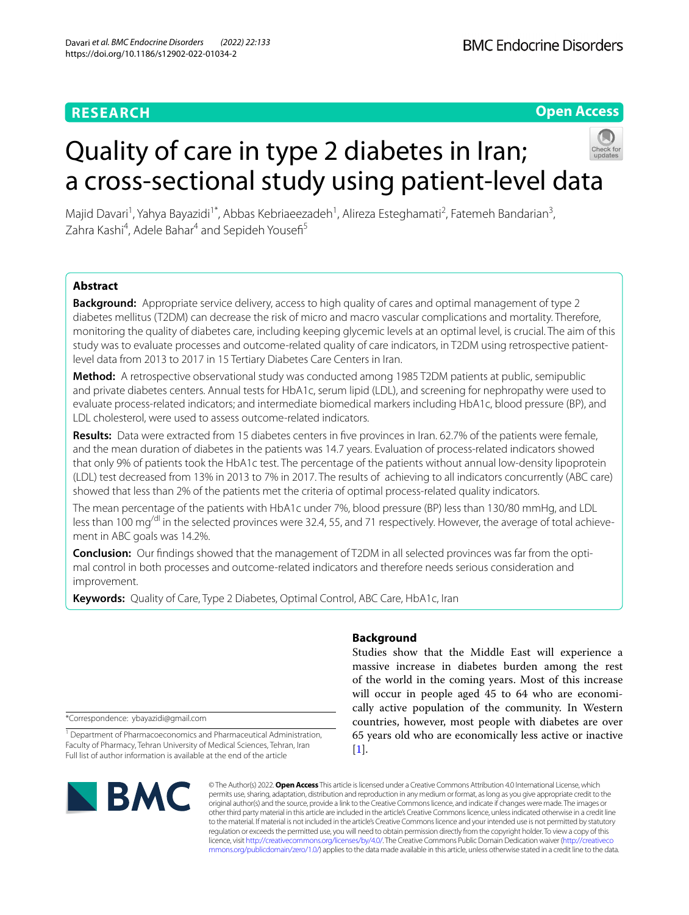**Open Access**

# Quality of care in type 2 diabetes in Iran; a cross-sectional study using patient-level data



Majid Davari<sup>1</sup>, Yahya Bayazidi<sup>1\*</sup>, Abbas Kebriaeezadeh<sup>1</sup>, Alireza Esteghamati<sup>2</sup>, Fatemeh Bandarian<sup>3</sup>, Zahra Kashi<sup>4</sup>, Adele Bahar<sup>4</sup> and Sepideh Yousefi<sup>5</sup>

### **Abstract**

**Background:** Appropriate service delivery, access to high quality of cares and optimal management of type 2 diabetes mellitus (T2DM) can decrease the risk of micro and macro vascular complications and mortality. Therefore, monitoring the quality of diabetes care, including keeping glycemic levels at an optimal level, is crucial. The aim of this study was to evaluate processes and outcome-related quality of care indicators, in T2DM using retrospective patientlevel data from 2013 to 2017 in 15 Tertiary Diabetes Care Centers in Iran.

**Method:** A retrospective observational study was conducted among 1985 T2DM patients at public, semipublic and private diabetes centers. Annual tests for HbA1c, serum lipid (LDL), and screening for nephropathy were used to evaluate process-related indicators; and intermediate biomedical markers including HbA1c, blood pressure (BP), and LDL cholesterol, were used to assess outcome-related indicators.

**Results:** Data were extracted from 15 diabetes centers in fve provinces in Iran. 62.7% of the patients were female, and the mean duration of diabetes in the patients was 14.7 years. Evaluation of process-related indicators showed that only 9% of patients took the HbA1c test. The percentage of the patients without annual low-density lipoprotein (LDL) test decreased from 13% in 2013 to 7% in 2017. The results of achieving to all indicators concurrently (ABC care) showed that less than 2% of the patients met the criteria of optimal process-related quality indicators.

The mean percentage of the patients with HbA1c under 7%, blood pressure (BP) less than 130/80 mmHg, and LDL less than 100 mg<sup>/dl</sup> in the selected provinces were 32.4, 55, and 71 respectively. However, the average of total achievement in ABC goals was 14.2%.

**Conclusion:** Our fndings showed that the management of T2DM in all selected provinces was far from the optimal control in both processes and outcome-related indicators and therefore needs serious consideration and improvement.

**Keywords:** Quality of Care, Type 2 Diabetes, Optimal Control, ABC Care, HbA1c, Iran

\*Correspondence: ybayazidi@gmail.com

<sup>1</sup> Department of Pharmacoeconomics and Pharmaceutical Administration, Faculty of Pharmacy, Tehran University of Medical Sciences, Tehran, Iran Full list of author information is available at the end of the article

# **BMC**

## **Background**

Studies show that the Middle East will experience a massive increase in diabetes burden among the rest of the world in the coming years. Most of this increase will occur in people aged 45 to 64 who are economically active population of the community. In Western countries, however, most people with diabetes are over 65 years old who are economically less active or inactive  $[1]$  $[1]$ .

© The Author(s) 2022. **Open Access** This article is licensed under a Creative Commons Attribution 4.0 International License, which permits use, sharing, adaptation, distribution and reproduction in any medium or format, as long as you give appropriate credit to the original author(s) and the source, provide a link to the Creative Commons licence, and indicate if changes were made. The images or other third party material in this article are included in the article's Creative Commons licence, unless indicated otherwise in a credit line to the material. If material is not included in the article's Creative Commons licence and your intended use is not permitted by statutory regulation or exceeds the permitted use, you will need to obtain permission directly from the copyright holder. To view a copy of this licence, visit [http://creativecommons.org/licenses/by/4.0/.](http://creativecommons.org/licenses/by/4.0/) The Creative Commons Public Domain Dedication waiver ([http://creativeco](http://creativecommons.org/publicdomain/zero/1.0/) [mmons.org/publicdomain/zero/1.0/](http://creativecommons.org/publicdomain/zero/1.0/)) applies to the data made available in this article, unless otherwise stated in a credit line to the data.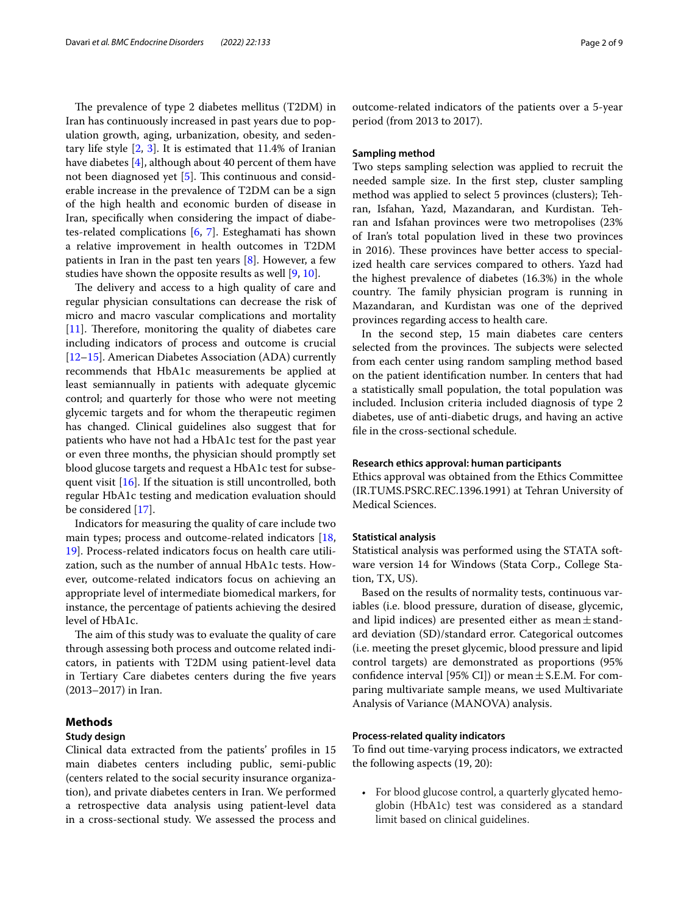The prevalence of type 2 diabetes mellitus (T2DM) in Iran has continuously increased in past years due to population growth, aging, urbanization, obesity, and sedentary life style  $[2, 3]$  $[2, 3]$  $[2, 3]$  $[2, 3]$  $[2, 3]$ . It is estimated that 11.4% of Iranian have diabetes [[4\]](#page-7-3), although about 40 percent of them have not been diagnosed yet [\[5](#page-7-4)]. This continuous and considerable increase in the prevalence of T2DM can be a sign of the high health and economic burden of disease in Iran, specifcally when considering the impact of diabetes-related complications [[6,](#page-7-5) [7](#page-7-6)]. Esteghamati has shown a relative improvement in health outcomes in T2DM patients in Iran in the past ten years [[8\]](#page-7-7). However, a few studies have shown the opposite results as well [\[9](#page-7-8), [10\]](#page-7-9).

The delivery and access to a high quality of care and regular physician consultations can decrease the risk of micro and macro vascular complications and mortality [[11\]](#page-7-10). Therefore, monitoring the quality of diabetes care including indicators of process and outcome is crucial [[12–](#page-7-11)[15](#page-7-12)]. American Diabetes Association (ADA) currently recommends that HbA1c measurements be applied at least semiannually in patients with adequate glycemic control; and quarterly for those who were not meeting glycemic targets and for whom the therapeutic regimen has changed. Clinical guidelines also suggest that for patients who have not had a HbA1c test for the past year or even three months, the physician should promptly set blood glucose targets and request a HbA1c test for subse-quent visit [[16\]](#page-7-13). If the situation is still uncontrolled, both regular HbA1c testing and medication evaluation should be considered [[17\]](#page-7-14).

Indicators for measuring the quality of care include two main types; process and outcome-related indicators [\[18](#page-7-15), [19\]](#page-7-16). Process-related indicators focus on health care utilization, such as the number of annual HbA1c tests. However, outcome-related indicators focus on achieving an appropriate level of intermediate biomedical markers, for instance, the percentage of patients achieving the desired level of HbA1c.

The aim of this study was to evaluate the quality of care through assessing both process and outcome related indicators, in patients with T2DM using patient-level data in Tertiary Care diabetes centers during the fve years (2013–2017) in Iran.

#### **Methods**

#### **Study design**

Clinical data extracted from the patients' profles in 15 main diabetes centers including public, semi-public (centers related to the social security insurance organization), and private diabetes centers in Iran. We performed a retrospective data analysis using patient-level data in a cross-sectional study. We assessed the process and

outcome-related indicators of the patients over a 5-year period (from 2013 to 2017).

#### **Sampling method**

Two steps sampling selection was applied to recruit the needed sample size. In the frst step, cluster sampling method was applied to select 5 provinces (clusters); Tehran, Isfahan, Yazd, Mazandaran, and Kurdistan. Tehran and Isfahan provinces were two metropolises (23% of Iran's total population lived in these two provinces in 2016). These provinces have better access to specialized health care services compared to others. Yazd had the highest prevalence of diabetes (16.3%) in the whole country. The family physician program is running in Mazandaran, and Kurdistan was one of the deprived provinces regarding access to health care.

In the second step, 15 main diabetes care centers selected from the provinces. The subjects were selected from each center using random sampling method based on the patient identifcation number. In centers that had a statistically small population, the total population was included. Inclusion criteria included diagnosis of type 2 diabetes, use of anti-diabetic drugs, and having an active fle in the cross-sectional schedule.

#### **Research ethics approval: human participants**

Ethics approval was obtained from the Ethics Committee (IR.TUMS.PSRC.REC.1396.1991) at Tehran University of Medical Sciences.

#### **Statistical analysis**

Statistical analysis was performed using the STATA software version 14 for Windows (Stata Corp., College Station, TX, US).

Based on the results of normality tests, continuous variables (i.e. blood pressure, duration of disease, glycemic, and lipid indices) are presented either as mean $\pm$ standard deviation (SD)/standard error. Categorical outcomes (i.e. meeting the preset glycemic, blood pressure and lipid control targets) are demonstrated as proportions (95% confidence interval [95% CI]) or mean  $\pm$  S.E.M. For comparing multivariate sample means, we used Multivariate Analysis of Variance (MANOVA) analysis.

#### **Process‑related quality indicators**

To fnd out time-varying process indicators, we extracted the following aspects (19, 20):

• For blood glucose control, a quarterly glycated hemoglobin (HbA1c) test was considered as a standard limit based on clinical guidelines.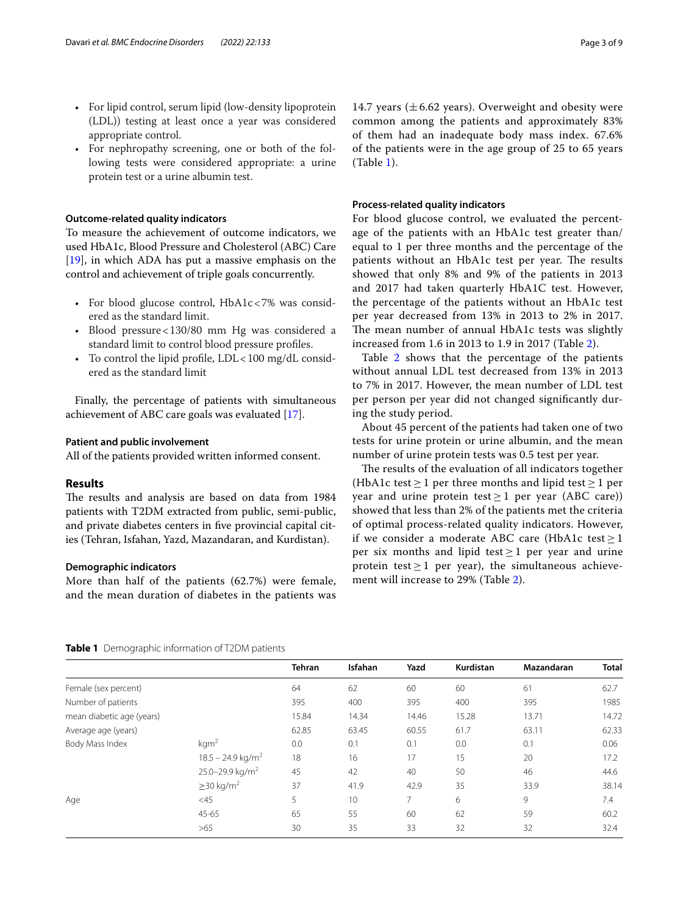- For lipid control, serum lipid (low-density lipoprotein (LDL)) testing at least once a year was considered appropriate control.
- For nephropathy screening, one or both of the following tests were considered appropriate: a urine protein test or a urine albumin test.

#### **Outcome‑related quality indicators**

To measure the achievement of outcome indicators, we used HbA1c, Blood Pressure and Cholesterol (ABC) Care [[19\]](#page-7-16), in which ADA has put a massive emphasis on the control and achievement of triple goals concurrently.

- For blood glucose control, HbA1c<7% was considered as the standard limit.
- Blood pressure<130/80 mm Hg was considered a standard limit to control blood pressure profles.
- To control the lipid profle, LDL<100 mg/dL considered as the standard limit

Finally, the percentage of patients with simultaneous achievement of ABC care goals was evaluated [\[17](#page-7-14)].

#### **Patient and public involvement**

All of the patients provided written informed consent.

#### **Results**

The results and analysis are based on data from 1984 patients with T2DM extracted from public, semi-public, and private diabetes centers in fve provincial capital cities (Tehran, Isfahan, Yazd, Mazandaran, and Kurdistan).

#### **Demographic indicators**

More than half of the patients (62.7%) were female, and the mean duration of diabetes in the patients was

14.7 years ( $\pm$  6.62 years). Overweight and obesity were common among the patients and approximately 83% of them had an inadequate body mass index. 67.6% of the patients were in the age group of 25 to 65 years (Table [1\)](#page-2-0).

#### **Process‑related quality indicators**

For blood glucose control, we evaluated the percentage of the patients with an HbA1c test greater than/ equal to 1 per three months and the percentage of the patients without an HbA1c test per year. The results showed that only 8% and 9% of the patients in 2013 and 2017 had taken quarterly HbA1C test. However, the percentage of the patients without an HbA1c test per year decreased from 13% in 2013 to 2% in 2017. The mean number of annual HbA1c tests was slightly increased from 1.6 in 2013 to 1.9 in 2017 (Table [2](#page-3-0)).

Table [2](#page-3-0) shows that the percentage of the patients without annual LDL test decreased from 13% in 2013 to 7% in 2017. However, the mean number of LDL test per person per year did not changed signifcantly during the study period.

About 45 percent of the patients had taken one of two tests for urine protein or urine albumin, and the mean number of urine protein tests was 0.5 test per year.

The results of the evaluation of all indicators together (HbA1c test  $\geq$  1 per three months and lipid test  $\geq$  1 per year and urine protein test  $\geq 1$  per year (ABC care)) showed that less than 2% of the patients met the criteria of optimal process-related quality indicators. However, if we consider a moderate ABC care (HbA1c test  $\geq$  1 per six months and lipid test  $\geq$  1 per year and urine protein test  $\geq 1$  per year), the simultaneous achievement will increase to 29% (Table [2](#page-3-0)).

#### <span id="page-2-0"></span>**Table 1** Demographic information of T2DM patients

|                           |                                 | <b>Tehran</b> | <b>Isfahan</b> | Yazd           | Kurdistan | Mazandaran | <b>Total</b> |
|---------------------------|---------------------------------|---------------|----------------|----------------|-----------|------------|--------------|
| Female (sex percent)      |                                 | 64            | 62             | 60             | 60        | 61         | 62.7         |
| Number of patients        |                                 | 395           | 400            | 395            | 400       | 395        | 1985         |
| mean diabetic age (years) |                                 | 15.84         | 14.34          | 14.46          | 15.28     | 13.71      | 14.72        |
| Average age (years)       |                                 | 62.85         | 63.45          | 60.55          | 61.7      | 63.11      | 62.33        |
| Body Mass Index           | kgm <sup>2</sup>                | 0.0           | 0.1            | 0.1            | 0.0       | 0.1        | 0.06         |
|                           | $18.5 - 24.9$ kg/m <sup>2</sup> | 18            | 16             | 17             | 15        | 20         | 17.2         |
|                           | 25.0-29.9 kg/m <sup>2</sup>     | 45            | 42             | 40             | 50        | 46         | 44.6         |
|                           | $\geq$ 30 kg/m <sup>2</sup>     | 37            | 41.9           | 42.9           | 35        | 33.9       | 38.14        |
| Age                       | <45                             | 5             | 10             | $\overline{7}$ | 6         | 9          | 7.4          |
|                           | $45 - 65$                       | 65            | 55             | 60             | 62        | 59         | 60.2         |
|                           | >65                             | 30            | 35             | 33             | 32        | 32         | 32.4         |
|                           |                                 |               |                |                |           |            |              |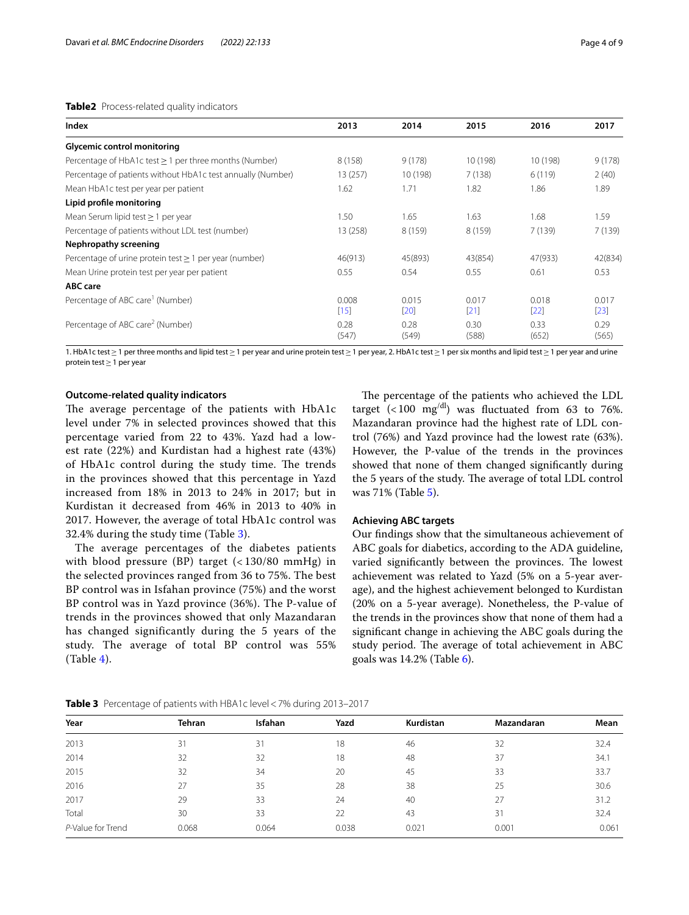#### <span id="page-3-0"></span>**Table2** Process-related quality indicators

| Index                                                       | 2013            | 2014            | 2015          | 2016            | 2017            |
|-------------------------------------------------------------|-----------------|-----------------|---------------|-----------------|-----------------|
| <b>Glycemic control monitoring</b>                          |                 |                 |               |                 |                 |
| Percentage of HbA1c test $\geq$ 1 per three months (Number) | 8(158)          | 9(178)          | 10 (198)      | 10 (198)        | 9(178)          |
| Percentage of patients without HbA1c test annually (Number) | 13(257)         | 10 (198)        | 7(138)        | 6(119)          | 2(40)           |
| Mean HbA1c test per year per patient                        | 1.62            | 1.71            | 1.82          | 1.86            | 1.89            |
| Lipid profile monitoring                                    |                 |                 |               |                 |                 |
| Mean Serum lipid test $\geq 1$ per year                     | 1.50            | 1.65            | 1.63          | 1.68            | 1.59            |
| Percentage of patients without LDL test (number)            | 13 (258)        | 8(159)          | 8 (159)       | 7(139)          | 7(139)          |
| Nephropathy screening                                       |                 |                 |               |                 |                 |
| Percentage of urine protein test $\geq 1$ per year (number) | 46(913)         | 45(893)         | 43(854)       | 47(933)         | 42(834)         |
| Mean Urine protein test per year per patient                | 0.55            | 0.54            | 0.55          | 0.61            | 0.53            |
| <b>ABC</b> care                                             |                 |                 |               |                 |                 |
| Percentage of ABC care <sup>1</sup> (Number)                | 0.008<br>$[15]$ | 0.015<br>$[20]$ | 0.017<br>[21] | 0.018<br>$[22]$ | 0.017<br>$[23]$ |
| Percentage of ABC care <sup>2</sup> (Number)                | 0.28<br>(547)   | 0.28<br>(549)   | 0.30<br>(588) | 0.33<br>(652)   | 0.29<br>(565)   |

1. HbA1c test≥1 per three months and lipid test≥1 per year and urine protein test≥1 per year, 2. HbA1c test≥1 per six months and lipid test≥1 per year and urine protein test≥1 per year

#### **Outcome‑related quality indicators**

The average percentage of the patients with HbA1c level under 7% in selected provinces showed that this percentage varied from 22 to 43%. Yazd had a lowest rate (22%) and Kurdistan had a highest rate (43%) of HbA1c control during the study time. The trends in the provinces showed that this percentage in Yazd increased from 18% in 2013 to 24% in 2017; but in Kurdistan it decreased from 46% in 2013 to 40% in 2017. However, the average of total HbA1c control was 32.4% during the study time (Table [3\)](#page-3-1).

The average percentages of the diabetes patients with blood pressure (BP) target (< 130/80 mmHg) in the selected provinces ranged from 36 to 75%. The best BP control was in Isfahan province (75%) and the worst BP control was in Yazd province (36%). The P-value of trends in the provinces showed that only Mazandaran has changed significantly during the 5 years of the study. The average of total BP control was 55% (Table [4\)](#page-4-0).

The percentage of the patients who achieved the LDL target (<100  $mg^{\text{/dl}}$ ) was fluctuated from 63 to 76%. Mazandaran province had the highest rate of LDL control (76%) and Yazd province had the lowest rate (63%). However, the P-value of the trends in the provinces showed that none of them changed signifcantly during the 5 years of the study. The average of total LDL control was 71% (Table [5](#page-4-1)).

#### **Achieving ABC targets**

Our fndings show that the simultaneous achievement of ABC goals for diabetics, according to the ADA guideline, varied significantly between the provinces. The lowest achievement was related to Yazd (5% on a 5-year average), and the highest achievement belonged to Kurdistan (20% on a 5-year average). Nonetheless, the P-value of the trends in the provinces show that none of them had a signifcant change in achieving the ABC goals during the study period. The average of total achievement in ABC goals was 14.2% (Table [6](#page-4-2)).

| Year              | <b>Tehran</b> | Isfahan | Yazd  | Kurdistan | Mazandaran | Mean  |
|-------------------|---------------|---------|-------|-----------|------------|-------|
| 2013              | 31            | 31      | 18    | 46        | 32         | 32.4  |
| 2014              | 32            | 32      | 18    | 48        | 37         | 34.1  |
| 2015              | 32            | 34      | 20    | 45        | 33         | 33.7  |
| 2016              | 27            | 35      | 28    | 38        | 25         | 30.6  |
| 2017              | 29            | 33      | 24    | 40        | 27         | 31.2  |
| Total             | 30            | 33      | 22    | 43        | 31         | 32.4  |
| P-Value for Trend | 0.068         | 0.064   | 0.038 | 0.021     | 0.001      | 0.061 |

<span id="page-3-1"></span>**Table 3** Percentage of patients with HBA1c level<7% during 2013–2017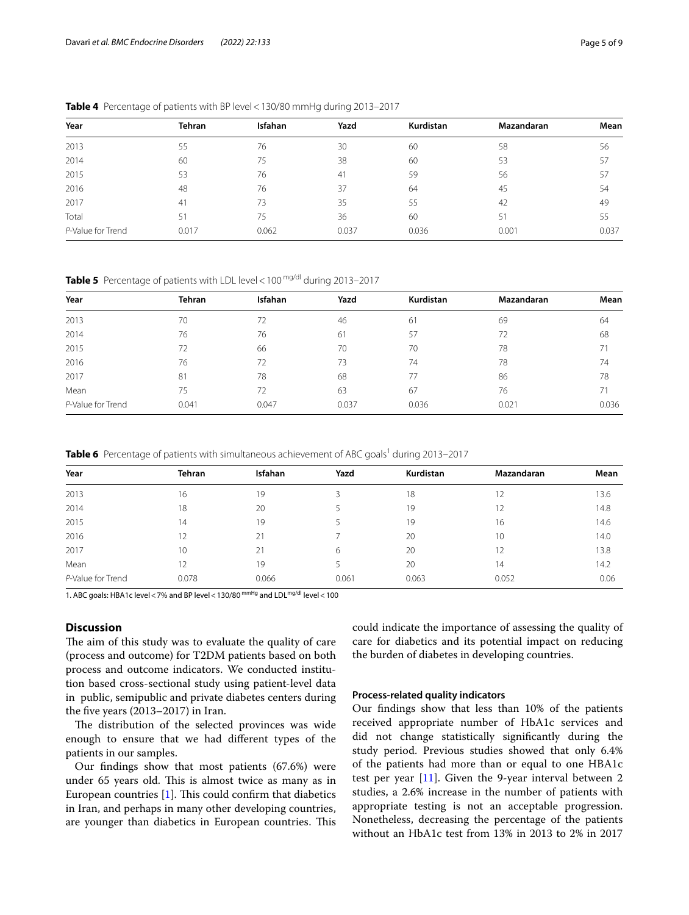| Year              | <b>Tehran</b> | Isfahan | Yazd  | Kurdistan | Mazandaran | Mean  |
|-------------------|---------------|---------|-------|-----------|------------|-------|
| 2013              | 55            | 76      | 30    | 60        | 58         | 56    |
| 2014              | 60            | 75      | 38    | 60        | 53         | 57    |
| 2015              | 53            | 76      | 41    | 59        | 56         | 57    |
| 2016              | 48            | 76      | 37    | 64        | 45         | 54    |
| 2017              | 41            | 73      | 35    | 55        | 42         | 49    |
| Total             | 51            | 75      | 36    | 60        | 51         | 55    |
| P-Value for Trend | 0.017         | 0.062   | 0.037 | 0.036     | 0.001      | 0.037 |

<span id="page-4-0"></span>**Table 4** Percentage of patients with BP level<130/80 mmHg during 2013–2017

<span id="page-4-1"></span>**Table 5** Percentage of patients with LDL level < 100 mg/dl during 2013-2017

| Year              | <b>Tehran</b> | <b>Isfahan</b> | Yazd  | Kurdistan | Mazandaran | Mean  |
|-------------------|---------------|----------------|-------|-----------|------------|-------|
| 2013              | 70            | 72             | 46    | 61        | 69         | 64    |
| 2014              | 76            | 76             | 61    | 57        | 72         | 68    |
| 2015              | 72            | 66             | 70    | 70        | 78         | 71    |
| 2016              | 76            | 72             | 73    | 74        | 78         | 74    |
| 2017              | 81            | 78             | 68    | 77        | 86         | 78    |
| Mean              | 75            | 72             | 63    | 67        | 76         | 71    |
| P-Value for Trend | 0.041         | 0.047          | 0.037 | 0.036     | 0.021      | 0.036 |

<span id="page-4-2"></span>Table 6 Percentage of patients with simultaneous achievement of ABC goals<sup>1</sup> during 2013-2017

| Year              | <b>Tehran</b> | <b>Isfahan</b> | Yazd  | <b>Kurdistan</b> | Mazandaran | Mean |
|-------------------|---------------|----------------|-------|------------------|------------|------|
| 2013              | 16            | 19             |       | 18               | 12         | 13.6 |
| 2014              | 18            | 20             |       | 19               | 12         | 14.8 |
| 2015              | 14            | 19             |       | 19               | 16         | 14.6 |
| 2016              | 12            | 21             |       | 20               | 10         | 14.0 |
| 2017              | 10            | 21             | 6     | 20               | 12         | 13.8 |
| Mean              |               | 19             |       | 20               | 14         | 14.2 |
| P-Value for Trend | 0.078         | 0.066          | 0.061 | 0.063            | 0.052      | 0.06 |

1. ABC goals: HBA1c level < 7% and BP level < 130/80 mmHg and LDL<sup>mg/dl</sup> level < 100

#### **Discussion**

The aim of this study was to evaluate the quality of care (process and outcome) for T2DM patients based on both process and outcome indicators. We conducted institution based cross-sectional study using patient-level data in public, semipublic and private diabetes centers during the fve years (2013–2017) in Iran.

The distribution of the selected provinces was wide enough to ensure that we had diferent types of the patients in our samples.

Our fndings show that most patients (67.6%) were under 65 years old. This is almost twice as many as in European countries  $[1]$  $[1]$  $[1]$ . This could confirm that diabetics in Iran, and perhaps in many other developing countries, are younger than diabetics in European countries. This could indicate the importance of assessing the quality of care for diabetics and its potential impact on reducing the burden of diabetes in developing countries.

#### **Process‑related quality indicators**

Our fndings show that less than 10% of the patients received appropriate number of HbA1c services and did not change statistically signifcantly during the study period. Previous studies showed that only 6.4% of the patients had more than or equal to one HBA1c test per year [\[11](#page-7-10)]. Given the 9-year interval between 2 studies, a 2.6% increase in the number of patients with appropriate testing is not an acceptable progression. Nonetheless, decreasing the percentage of the patients without an HbA1c test from 13% in 2013 to 2% in 2017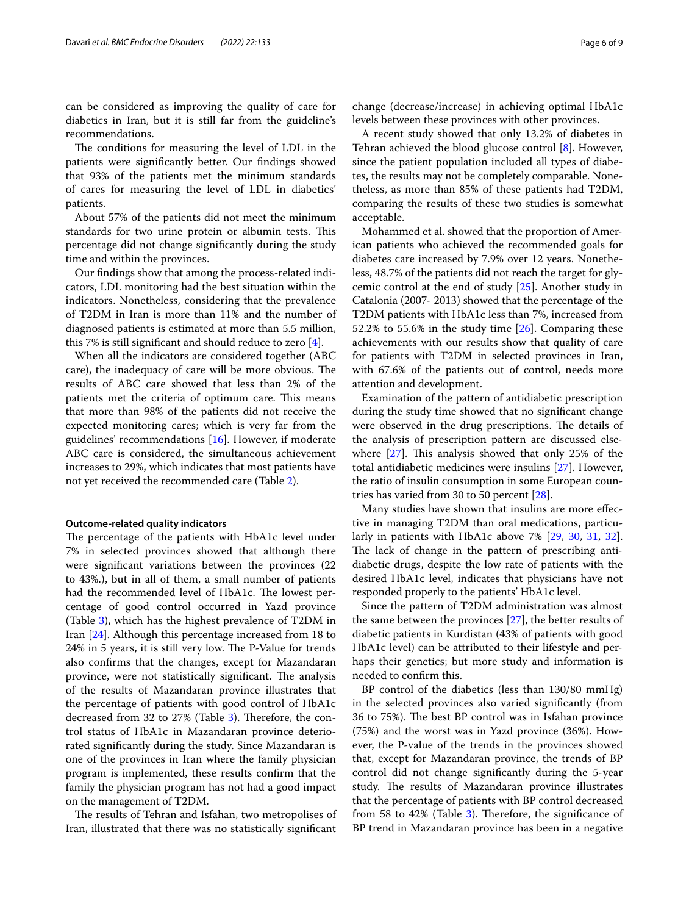can be considered as improving the quality of care for diabetics in Iran, but it is still far from the guideline's recommendations.

The conditions for measuring the level of LDL in the patients were signifcantly better. Our fndings showed that 93% of the patients met the minimum standards of cares for measuring the level of LDL in diabetics' patients.

About 57% of the patients did not meet the minimum standards for two urine protein or albumin tests. This percentage did not change signifcantly during the study time and within the provinces.

Our fndings show that among the process-related indicators, LDL monitoring had the best situation within the indicators. Nonetheless, considering that the prevalence of T2DM in Iran is more than 11% and the number of diagnosed patients is estimated at more than 5.5 million, this 7% is still signifcant and should reduce to zero [[4\]](#page-7-3).

When all the indicators are considered together (ABC care), the inadequacy of care will be more obvious. The results of ABC care showed that less than 2% of the patients met the criteria of optimum care. This means that more than 98% of the patients did not receive the expected monitoring cares; which is very far from the guidelines' recommendations [\[16](#page-7-13)]. However, if moderate ABC care is considered, the simultaneous achievement increases to 29%, which indicates that most patients have not yet received the recommended care (Table [2](#page-3-0)).

#### **Outcome‑related quality indicators**

The percentage of the patients with HbA1c level under 7% in selected provinces showed that although there were signifcant variations between the provinces (22 to 43%.), but in all of them, a small number of patients had the recommended level of HbA1c. The lowest percentage of good control occurred in Yazd province (Table [3](#page-3-1)), which has the highest prevalence of T2DM in Iran [[24\]](#page-7-21). Although this percentage increased from 18 to 24% in 5 years, it is still very low. The P-Value for trends also confrms that the changes, except for Mazandaran province, were not statistically significant. The analysis of the results of Mazandaran province illustrates that the percentage of patients with good control of HbA1c decreased from [3](#page-3-1)2 to  $27\%$  (Table 3). Therefore, the control status of HbA1c in Mazandaran province deteriorated signifcantly during the study. Since Mazandaran is one of the provinces in Iran where the family physician program is implemented, these results confrm that the family the physician program has not had a good impact on the management of T2DM.

The results of Tehran and Isfahan, two metropolises of Iran, illustrated that there was no statistically signifcant

change (decrease/increase) in achieving optimal HbA1c levels between these provinces with other provinces.

A recent study showed that only 13.2% of diabetes in Tehran achieved the blood glucose control [[8\]](#page-7-7). However, since the patient population included all types of diabetes, the results may not be completely comparable. Nonetheless, as more than 85% of these patients had T2DM, comparing the results of these two studies is somewhat acceptable.

Mohammed et al. showed that the proportion of American patients who achieved the recommended goals for diabetes care increased by 7.9% over 12 years. Nonetheless, 48.7% of the patients did not reach the target for glycemic control at the end of study [\[25](#page-7-22)]. Another study in Catalonia (2007- 2013) showed that the percentage of the T2DM patients with HbA1c less than 7%, increased from 52.2% to 55.6% in the study time [[26\]](#page-7-23). Comparing these achievements with our results show that quality of care for patients with T2DM in selected provinces in Iran, with 67.6% of the patients out of control, needs more attention and development.

Examination of the pattern of antidiabetic prescription during the study time showed that no signifcant change were observed in the drug prescriptions. The details of the analysis of prescription pattern are discussed elsewhere  $[27]$ . This analysis showed that only 25% of the total antidiabetic medicines were insulins [[27\]](#page-7-24). However, the ratio of insulin consumption in some European countries has varied from 30 to 50 percent [[28\]](#page-7-25).

Many studies have shown that insulins are more efective in managing T2DM than oral medications, particularly in patients with HbA1c above 7% [[29,](#page-7-26) [30](#page-7-27), [31](#page-8-0), [32](#page-8-1)]. The lack of change in the pattern of prescribing antidiabetic drugs, despite the low rate of patients with the desired HbA1c level, indicates that physicians have not responded properly to the patients' HbA1c level.

Since the pattern of T2DM administration was almost the same between the provinces [\[27\]](#page-7-24), the better results of diabetic patients in Kurdistan (43% of patients with good HbA1c level) can be attributed to their lifestyle and perhaps their genetics; but more study and information is needed to confrm this.

BP control of the diabetics (less than 130/80 mmHg) in the selected provinces also varied signifcantly (from 36 to 75%). The best BP control was in Isfahan province (75%) and the worst was in Yazd province (36%). However, the P-value of the trends in the provinces showed that, except for Mazandaran province, the trends of BP control did not change signifcantly during the 5-year study. The results of Mazandaran province illustrates that the percentage of patients with BP control decreased from 58 to 42% (Table  $3$ ). Therefore, the significance of BP trend in Mazandaran province has been in a negative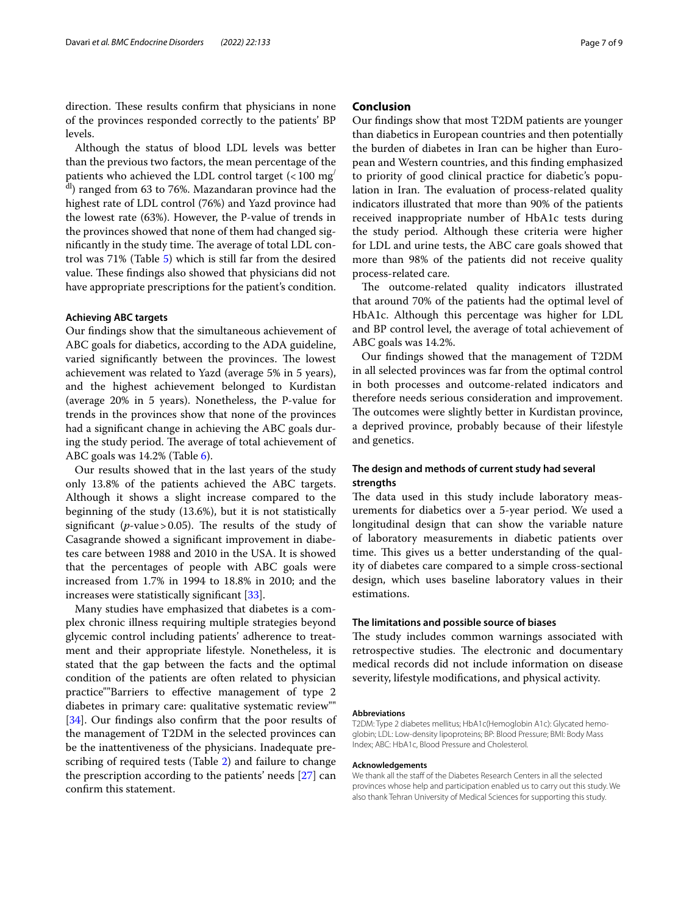direction. These results confirm that physicians in none of the provinces responded correctly to the patients' BP levels.

Although the status of blood LDL levels was better than the previous two factors, the mean percentage of the patients who achieved the LDL control target  $\left($  < 100 mg $\right)$  $\text{d}$ ) ranged from 63 to 76%. Mazandaran province had the highest rate of LDL control (76%) and Yazd province had the lowest rate (63%). However, the P-value of trends in the provinces showed that none of them had changed significantly in the study time. The average of total LDL control was 71% (Table [5](#page-4-1)) which is still far from the desired value. These findings also showed that physicians did not have appropriate prescriptions for the patient's condition.

#### **Achieving ABC targets**

Our fndings show that the simultaneous achievement of ABC goals for diabetics, according to the ADA guideline, varied significantly between the provinces. The lowest achievement was related to Yazd (average 5% in 5 years), and the highest achievement belonged to Kurdistan (average 20% in 5 years). Nonetheless, the P-value for trends in the provinces show that none of the provinces had a signifcant change in achieving the ABC goals during the study period. The average of total achievement of ABC goals was 14.2% (Table [6\)](#page-4-2).

Our results showed that in the last years of the study only 13.8% of the patients achieved the ABC targets. Although it shows a slight increase compared to the beginning of the study (13.6%), but it is not statistically significant ( $p$ -value > 0.05). The results of the study of Casagrande showed a signifcant improvement in diabetes care between 1988 and 2010 in the USA. It is showed that the percentages of people with ABC goals were increased from 1.7% in 1994 to 18.8% in 2010; and the increases were statistically signifcant [\[33](#page-8-2)].

Many studies have emphasized that diabetes is a complex chronic illness requiring multiple strategies beyond glycemic control including patients' adherence to treatment and their appropriate lifestyle. Nonetheless, it is stated that the gap between the facts and the optimal condition of the patients are often related to physician practice""Barriers to efective management of type 2 diabetes in primary care: qualitative systematic review"" [[34\]](#page-8-3). Our findings also confirm that the poor results of the management of T2DM in the selected provinces can be the inattentiveness of the physicians. Inadequate prescribing of required tests (Table [2\)](#page-3-0) and failure to change the prescription according to the patients' needs [[27](#page-7-24)] can confrm this statement.

#### **Conclusion**

Our fndings show that most T2DM patients are younger than diabetics in European countries and then potentially the burden of diabetes in Iran can be higher than European and Western countries, and this fnding emphasized to priority of good clinical practice for diabetic's population in Iran. The evaluation of process-related quality indicators illustrated that more than 90% of the patients received inappropriate number of HbA1c tests during the study period. Although these criteria were higher for LDL and urine tests, the ABC care goals showed that more than 98% of the patients did not receive quality process-related care.

The outcome-related quality indicators illustrated that around 70% of the patients had the optimal level of HbA1c. Although this percentage was higher for LDL and BP control level, the average of total achievement of ABC goals was 14.2%.

Our fndings showed that the management of T2DM in all selected provinces was far from the optimal control in both processes and outcome-related indicators and therefore needs serious consideration and improvement. The outcomes were slightly better in Kurdistan province, a deprived province, probably because of their lifestyle and genetics.

#### **The design and methods of current study had several strengths**

The data used in this study include laboratory measurements for diabetics over a 5-year period. We used a longitudinal design that can show the variable nature of laboratory measurements in diabetic patients over time. This gives us a better understanding of the quality of diabetes care compared to a simple cross-sectional design, which uses baseline laboratory values in their estimations.

#### **The limitations and possible source of biases**

The study includes common warnings associated with retrospective studies. The electronic and documentary medical records did not include information on disease severity, lifestyle modifcations, and physical activity.

#### **Abbreviations**

T2DM: Type 2 diabetes mellitus; HbA1c(Hemoglobin A1c): Glycated hemoglobin; LDL: Low-density lipoproteins; BP: Blood Pressure; BMI: Body Mass Index; ABC: HbA1c, Blood Pressure and Cholesterol.

#### **Acknowledgements**

We thank all the staff of the Diabetes Research Centers in all the selected provinces whose help and participation enabled us to carry out this study. We also thank Tehran University of Medical Sciences for supporting this study.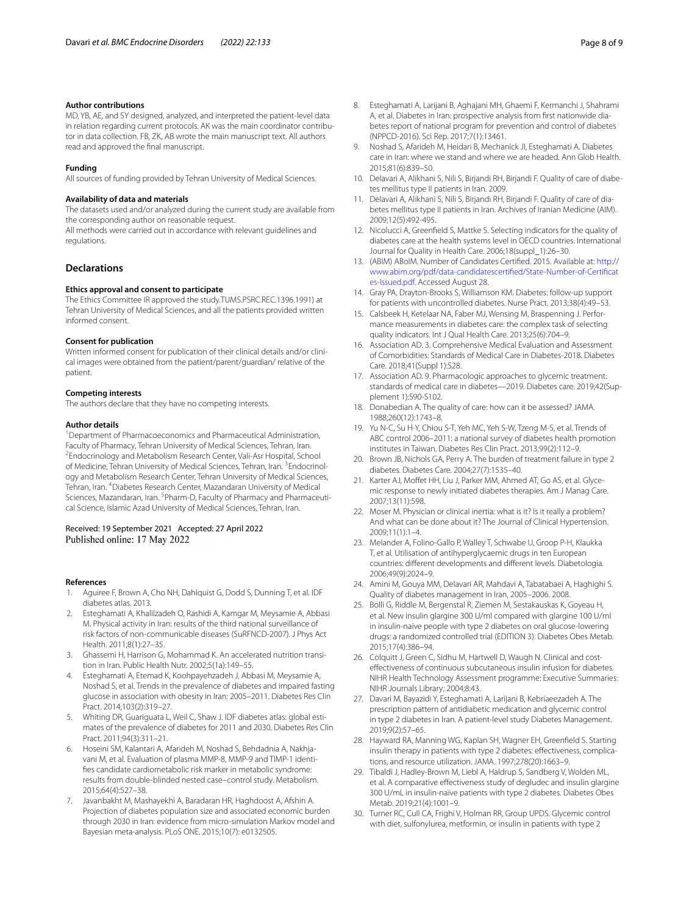#### **Author contributions**

MD, YB, AE, and SY designed, analyzed, and interpreted the patient-level data in relation regarding current protocols. AK was the main coordinator contributor in data collection. FB, ZK, AB wrote the main manuscript text. All authors read and approved the fnal manuscript.

#### **Funding**

All sources of funding provided by Tehran University of Medical Sciences.

#### **Availability of data and materials**

The datasets used and/or analyzed during the current study are available from the corresponding author on reasonable request.

All methods were carried out in accordance with relevant guidelines and regulations.

#### **Declarations**

#### **Ethics approval and consent to participate**

The Ethics Committee IR approved the study.TUMS.PSRC.REC.1396.1991) at Tehran University of Medical Sciences, and all the patients provided written informed consent.

#### **Consent for publication**

Written informed consent for publication of their clinical details and/or clinical images were obtained from the patient/parent/guardian/ relative of the patient.

#### **Competing interests**

The authors declare that they have no competing interests.

#### **Author details**

<sup>1</sup> Department of Pharmacoeconomics and Pharmaceutical Administration, Faculty of Pharmacy, Tehran University of Medical Sciences, Tehran, Iran. 2 Endocrinology and Metabolism Research Center, Vali-Asr Hospital, School of Medicine, Tehran University of Medical Sciences, Tehran, Iran. <sup>3</sup>Endocrinology and Metabolism Research Center, Tehran University of Medical Sciences, Tehran, Iran. <sup>4</sup> Diabetes Research Center, Mazandaran University of Medical Sciences, Mazandaran, Iran. <sup>5</sup> Pharm-D, Faculty of Pharmacy and Pharmaceutical Science, Islamic Azad University of Medical Sciences, Tehran, Iran.

#### Received: 19 September 2021 Accepted: 27 April 2022 Published online: 17 May 2022

#### **References**

- <span id="page-7-0"></span>1. Aguiree F, Brown A, Cho NH, Dahlquist G, Dodd S, Dunning T, et al. IDF diabetes atlas. 2013.
- <span id="page-7-1"></span>2. Esteghamati A, Khalilzadeh O, Rashidi A, Kamgar M, Meysamie A, Abbasi M. Physical activity in Iran: results of the third national surveillance of risk factors of non-communicable diseases (SuRFNCD-2007). J Phys Act Health. 2011;8(1):27–35.
- <span id="page-7-2"></span>3. Ghassemi H, Harrison G, Mohammad K. An accelerated nutrition transition in Iran. Public Health Nutr. 2002;5(1a):149–55.
- <span id="page-7-3"></span>4. Esteghamati A, Etemad K, Koohpayehzadeh J, Abbasi M, Meysamie A, Noshad S, et al. Trends in the prevalence of diabetes and impaired fasting glucose in association with obesity in Iran: 2005–2011. Diabetes Res Clin Pract. 2014;103(2):319–27.
- <span id="page-7-4"></span>5. Whiting DR, Guariguata L, Weil C, Shaw J. IDF diabetes atlas: global estimates of the prevalence of diabetes for 2011 and 2030. Diabetes Res Clin Pract. 2011;94(3):311–21.
- <span id="page-7-5"></span>6. Hoseini SM, Kalantari A, Afarideh M, Noshad S, Behdadnia A, Nakhjavani M, et al. Evaluation of plasma MMP-8, MMP-9 and TIMP-1 identifes candidate cardiometabolic risk marker in metabolic syndrome: results from double-blinded nested case–control study. Metabolism. 2015;64(4):527–38.
- <span id="page-7-6"></span>7. Javanbakht M, Mashayekhi A, Baradaran HR, Haghdoost A, Afshin A. Projection of diabetes population size and associated economic burden through 2030 in Iran: evidence from micro-simulation Markov model and Bayesian meta-analysis. PLoS ONE. 2015;10(7): e0132505.
- <span id="page-7-7"></span>8. Esteghamati A, Larijani B, Aghajani MH, Ghaemi F, Kermanchi J, Shahrami A, et al. Diabetes in Iran: prospective analysis from frst nationwide diabetes report of national program for prevention and control of diabetes (NPPCD-2016). Sci Rep. 2017;7(1):13461.
- <span id="page-7-8"></span>9. Noshad S, Afarideh M, Heidari B, Mechanick JI, Esteghamati A. Diabetes care in Iran: where we stand and where we are headed. Ann Glob Health. 2015;81(6):839–50.
- <span id="page-7-9"></span>10. Delavari A, Alikhani S, Nili S, Birjandi RH, Birjandi F. Quality of care of diabetes mellitus type II patients in Iran. 2009.
- <span id="page-7-10"></span>11. Delavari A, Alikhani S, Nili S, Birjandi RH, Birjandi F. Quality of care of diabetes mellitus type II patients in Iran. Archives of Iranian Medicine (AIM). 2009;12(5):492-495.
- <span id="page-7-11"></span>12. Nicolucci A, Greenfeld S, Mattke S. Selecting indicators for the quality of diabetes care at the health systems level in OECD countries. International Journal for Quality in Health Care. 2006;18(suppl\_1):26–30.
- 13. (ABIM) ABoIM. Number of Candidates Certifed. 2015. Available at: [http://](http://www.abim.org/pdf/data-candidatescertified/State-Number-of-Certificates-Issued.pdf) [www.abim.org/pdf/data-candidatescertifed/State-Number-of-Certifcat](http://www.abim.org/pdf/data-candidatescertified/State-Number-of-Certificates-Issued.pdf) [es-Issued.pdf](http://www.abim.org/pdf/data-candidatescertified/State-Number-of-Certificates-Issued.pdf). Accessed August 28.
- 14. Gray PA, Drayton-Brooks S, Williamson KM. Diabetes: follow-up support for patients with uncontrolled diabetes. Nurse Pract. 2013;38(4):49–53.
- <span id="page-7-12"></span>15. Calsbeek H, Ketelaar NA, Faber MJ, Wensing M, Braspenning J. Performance measurements in diabetes care: the complex task of selecting quality indicators. Int J Qual Health Care. 2013;25(6):704–9.
- <span id="page-7-13"></span>16. Association AD. 3. Comprehensive Medical Evaluation and Assessment of Comorbidities: Standards of Medical Care in Diabetes-2018. Diabetes Care. 2018;41(Suppl 1):S28.
- <span id="page-7-14"></span>17. Association AD. 9. Pharmacologic approaches to glycemic treatment: standards of medical care in diabetes—2019. Diabetes care. 2019;42(Supplement 1):S90-S102.
- <span id="page-7-15"></span>18. Donabedian A. The quality of care: how can it be assessed? JAMA. 1988;260(12):1743–8.
- <span id="page-7-16"></span>19. Yu N-C, Su H-Y, Chiou S-T, Yeh MC, Yeh S-W, Tzeng M-S, et al. Trends of ABC control 2006–2011: a national survey of diabetes health promotion institutes in Taiwan. Diabetes Res Clin Pract. 2013;99(2):112–9.
- <span id="page-7-17"></span>20. Brown JB, Nichols GA, Perry A. The burden of treatment failure in type 2 diabetes. Diabetes Care. 2004;27(7):1535–40.
- <span id="page-7-18"></span>21. Karter AJ, Moffet HH, Liu J, Parker MM, Ahmed AT, Go AS, et al. Glycemic response to newly initiated diabetes therapies. Am J Manag Care. 2007;13(11):598.
- <span id="page-7-19"></span>22. Moser M. Physician or clinical inertia: what is it? Is it really a problem? And what can be done about it? The Journal of Clinical Hypertension. 2009;11(1):1–4.
- <span id="page-7-20"></span>23. Melander A, Folino-Gallo P, Walley T, Schwabe U, Groop P-H, Klaukka T, et al. Utilisation of antihyperglycaemic drugs in ten European countries: diferent developments and diferent levels. Diabetologia. 2006;49(9):2024–9.
- <span id="page-7-21"></span>24. Amini M, Gouya MM, Delavari AR, Mahdavi A, Tabatabaei A, Haghighi S. Quality of diabetes management in Iran, 2005–2006. 2008.
- <span id="page-7-22"></span>25. Bolli G, Riddle M, Bergenstal R, Ziemen M, Sestakauskas K, Goyeau H, et al. New insulin glargine 300 U/ml compared with glargine 100 U/ml in insulin-naive people with type 2 diabetes on oral glucose-lowering drugs: a randomized controlled trial (EDITION 3). Diabetes Obes Metab. 2015;17(4):386–94.
- <span id="page-7-23"></span>26. Colquitt J, Green C, Sidhu M, Hartwell D, Waugh N. Clinical and costefectiveness of continuous subcutaneous insulin infusion for diabetes. NIHR Health Technology Assessment programme: Executive Summaries: NIHR Journals Library; 2004;8:43.
- <span id="page-7-24"></span>27. Davari M, Bayazidi Y, Esteghamati A, Larijani B, Kebriaeezadeh A. The prescription pattern of antidiabetic medication and glycemic control in type 2 diabetes in Iran. A patient-level study Diabetes Management. 2019;9(2):57–65.
- <span id="page-7-25"></span>28. Hayward RA, Manning WG, Kaplan SH, Wagner EH, Greenfeld S. Starting insulin therapy in patients with type 2 diabetes: efectiveness, complications, and resource utilization. JAMA. 1997;278(20):1663–9.
- <span id="page-7-26"></span>29. Tibaldi J, Hadley-Brown M, Liebl A, Haldrup S, Sandberg V, Wolden ML, et al. A comparative efectiveness study of degludec and insulin glargine 300 U/mL in insulin-naïve patients with type 2 diabetes. Diabetes Obes Metab. 2019;21(4):1001–9.
- <span id="page-7-27"></span>30. Turner RC, Cull CA, Frighi V, Holman RR, Group UPDS. Glycemic control with diet, sulfonylurea, metformin, or insulin in patients with type 2